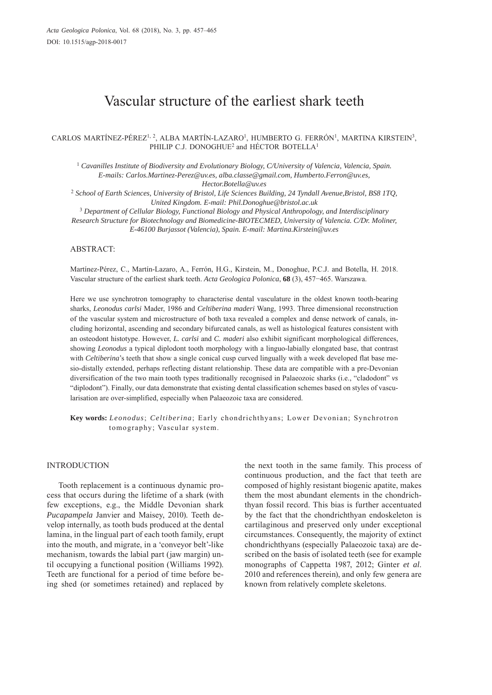# Vascular structure of the earliest shark teeth

# CARLOS MARTÍNEZ-PÉREZ<sup>1, 2</sup>, ALBA MARTÍN-LAZARO<sup>1</sup>, HUMBERTO G. FERRÓN<sup>1</sup>, MARTINA KIRSTEIN<sup>3</sup>, PHILIP C.J. DONOGHUE<sup>2</sup> and HÉCTOR BOTELLA<sup>1</sup>

<sup>1</sup> *Cavanilles Institute of Biodiversity and Evolutionary Biology, C/University of Valencia, Valencia, Spain. E-mails: Carlos.Martinez-Perez@uv.es, alba.classe@gmail.com, Humberto.Ferron@uv.es, Hector.Botella@uv.es*

<sup>2</sup> *School of Earth Sciences, University of Bristol, Life Sciences Building, 24 Tyndall Avenue,Bristol, BS8 1TQ, United Kingdom. E-mail: Phil.Donoghue@bristol.ac.uk*

<sup>3</sup> *Department of Cellular Biology, Functional Biology and Physical Anthropology, and Interdisciplinary Research Structure for Biotechnology and Biomedicine-BIOTECMED, University of Valencia. C/Dr. Moliner, E-46100 Burjassot (Valencia), Spain. E-mail: Martina.Kirstein@uv.es*

## ABSTRACT:

Martínez-Pérez, C., Martín-Lazaro, A., Ferrón, H.G., Kirstein, M., Donoghue, P.C.J. and Botella, H. 2018. Vascular structure of the earliest shark teeth. *Acta Geologica Polonica*, **68** (3), 457−465. Warszawa.

Here we use synchrotron tomography to characterise dental vasculature in the oldest known tooth-bearing sharks, *Leonodus carlsi* Mader, 1986 and *Celtiberina maderi* Wang, 1993. Three dimensional reconstruction of the vascular system and microstructure of both taxa revealed a complex and dense network of canals, including horizontal, ascending and secondary bifurcated canals, as well as histological features consistent with an osteodont histotype. However, *L. carlsi* and *C. maderi* also exhibit significant morphological differences, showing *Leonodus* a typical diplodont tooth morphology with a linguo-labially elongated base, that contrast with *Celtiberina*'s teeth that show a single conical cusp curved lingually with a week developed flat base mesio-distally extended, perhaps reflecting distant relationship. These data are compatible with a pre-Devonian diversification of the two main tooth types traditionally recognised in Palaeozoic sharks (i.e., "cladodont" *vs* "diplodont"). Finally, our data demonstrate that existing dental classification schemes based on styles of vascularisation are over-simplified, especially when Palaeozoic taxa are considered.

**Key words:** *Leonodus*; *Celtiberina*; Early chondrichthyans; Lower Devonian; Synchrotron tomography; Vascular system.

## INTRODUCTION

Tooth replacement is a continuous dynamic process that occurs during the lifetime of a shark (with few exceptions, e.g., the Middle Devonian shark *Pucapampela Janvier and Maisey, 2010). Teeth de*velop internally, as tooth buds produced at the dental lamina, in the lingual part of each tooth family, erupt into the mouth, and migrate, in a 'conveyor belt'-like mechanism, towards the labial part (jaw margin) until occupying a functional position (Williams 1992). Teeth are functional for a period of time before being shed (or sometimes retained) and replaced by the next tooth in the same family. This process of continuous production, and the fact that teeth are composed of highly resistant biogenic apatite, makes them the most abundant elements in the chondrichthyan fossil record. This bias is further accentuated by the fact that the chondrichthyan endoskeleton is cartilaginous and preserved only under exceptional circumstances. Consequently, the majority of extinct chondrichthyans (especially Palaeozoic taxa) are described on the basis of isolated teeth (see for example monographs of Cappetta 1987, 2012; Ginter *et al*. 2010 and references therein), and only few genera are known from relatively complete skeletons.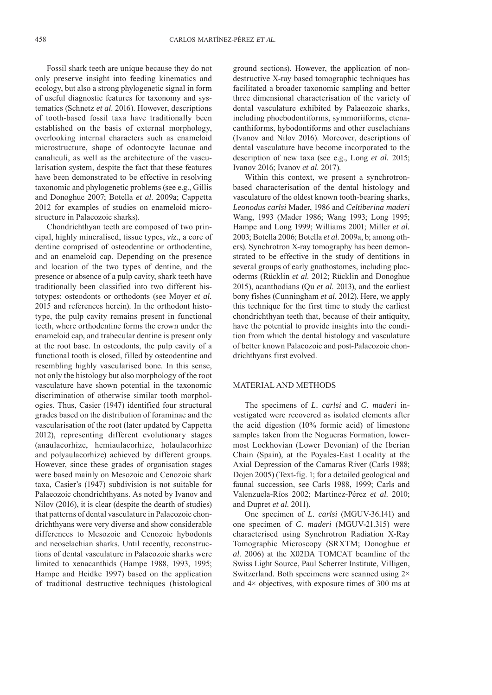Fossil shark teeth are unique because they do not only preserve insight into feeding kinematics and ecology, but also a strong phylogenetic signal in form of useful diagnostic features for taxonomy and systematics (Schnetz *et al*. 2016). However, descriptions of tooth-based fossil taxa have traditionally been established on the basis of external morphology, overlooking internal characters such as enameloid microstructure, shape of odontocyte lacunae and canaliculi, as well as the architecture of the vascularisation system, despite the fact that these features have been demonstrated to be effective in resolving taxonomic and phylogenetic problems (see e.g., Gillis and Donoghue 2007; Botella *et al*. 2009a; Cappetta 2012 for examples of studies on enameloid microstructure in Palaeozoic sharks).

Chondrichthyan teeth are composed of two principal, highly mineralised, tissue types, *viz.*, a core of dentine comprised of osteodentine or orthodentine, and an enameloid cap. Depending on the presence and location of the two types of dentine, and the presence or absence of a pulp cavity, shark teeth have traditionally been classified into two different histotypes: osteodonts or orthodonts (see Moyer *et al.* 2015 and references herein). In the orthodont histotype, the pulp cavity remains present in functional teeth, where orthodentine forms the crown under the enameloid cap, and trabecular dentine is present only at the root base. In osteodonts, the pulp cavity of a functional tooth is closed, filled by osteodentine and resembling highly vascularised bone. In this sense, not only the histology but also morphology of the root vasculature have shown potential in the taxonomic discrimination of otherwise similar tooth morphologies. Thus, Casier (1947) identified four structural grades based on the distribution of foraminae and the vascularisation of the root (later updated by Cappetta 2012), representing different evolutionary stages (anaulacorhize, hemiaulacorhize, holaulacorhize and polyaulacorhize) achieved by different groups. However, since these grades of organisation stages were based mainly on Mesozoic and Cenozoic shark taxa, Casier's (1947) subdivision is not suitable for Palaeozoic chondrichthyans. As noted by Ivanov and Nilov (2016), it is clear (despite the dearth of studies) that patterns of dental vasculature in Palaeozoic chondrichthyans were very diverse and show considerable differences to Mesozoic and Cenozoic hybodonts and neoselachian sharks. Until recently, reconstructions of dental vasculature in Palaeozoic sharks were limited to xenacanthids (Hampe 1988, 1993, 1995; Hampe and Heidke 1997) based on the application of traditional destructive techniques (histological ground sections). However, the application of nondestructive X-ray based tomographic techniques has facilitated a broader taxonomic sampling and better three dimensional characterisation of the variety of dental vasculature exhibited by Palaeozoic sharks, including phoebodontiforms, symmoriiforms, ctenacanthiforms, hybodontiforms and other euselachians (Ivanov and Nilov 2016). Moreover, descriptions of dental vasculature have become incorporated to the description of new taxa (see e.g., Long *et al.* 2015; Ivanov 2016; Ivanov *et al*. 2017).

Within this context, we present a synchrotronbased characterisation of the dental histology and vasculature of the oldest known tooth-bearing sharks, *Leonodus carlsi* Mader, 1986 and *Celtiberina maderi* Wang, 1993 (Mader 1986; Wang 1993; Long 1995; Hampe and Long 1999; Williams 2001; Miller *et al.* 2003; Botella 2006; Botella *et al*. 2009a, b; among others). Synchrotron X-ray tomography has been demonstrated to be effective in the study of dentitions in several groups of early gnathostomes, including placoderms (Rücklin *et al*. 2012; Rücklin and Donoghue 2015), acanthodians (Qu *et al*. 2013), and the earliest bony fishes (Cunningham *et al*. 2012). Here, we apply this technique for the first time to study the earliest chondrichthyan teeth that, because of their antiquity, have the potential to provide insights into the condition from which the dental histology and vasculature of better known Palaeozoic and post-Palaeozoic chondrichthyans first evolved.

## MATERIAL AND METHODS

The specimens of *L. carlsi* and *C. maderi* investigated were recovered as isolated elements after the acid digestion (10% formic acid) of limestone samples taken from the Nogueras Formation, lowermost Lockhovian (Lower Devonian) of the Iberian Chain (Spain), at the Poyales-East Locality at the Axial Depression of the Camaras River (Carls 1988; Dojen 2005) (Text-fig. 1; for a detailed geological and faunal succession, see Carls 1988, 1999; Carls and Valenzuela-Ríos 2002; Martínez-Pérez *et al*. 2010; and Dupret *et al*. 2011).

One specimen of *L. carlsi* (MGUV-36.141) and one specimen of *C. maderi* (MGUV-21.315) were characterised using Synchrotron Radiation X-Ray Tomographic Microscopy (SRXTM; Donoghue et *al*. 2006) at the X02DA TOMCAT beamline of the Swiss Light Source, Paul Scherrer Institute, Villigen, Switzerland. Both specimens were scanned using 2× and  $4\times$  objectives, with exposure times of 300 ms at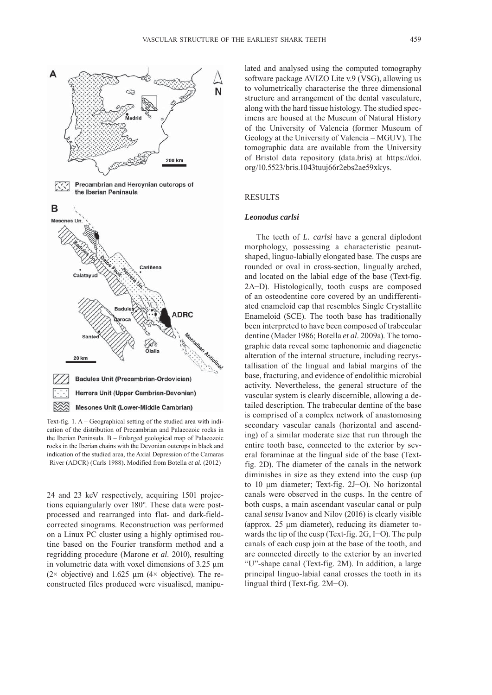

Text-fig. 1. A – Geographical setting of the studied area with indication of the distribution of Precambrian and Palaeozoic rocks in the Iberian Peninsula. B – Enlarged geological map of Palaeozoic rocks in the Iberian chains with the Devonian outcrops in black and indication of the studied area, the Axial Depression of the Camaras River (ADCR) (Carls 1988). Modified from Botella *et al*. (2012)

24 and 23 keV respectively, acquiring 1501 projections equiangularly over 180º. These data were postprocessed and rearranged into flat- and dark-fieldcorrected sinograms. Reconstruction was performed on a Linux PC cluster using a highly optimised routine based on the Fourier transform method and a regridding procedure (Marone *et al*. 2010), resulting in volumetric data with voxel dimensions of 3.25 μm (2 $\times$  objective) and 1.625 μm (4 $\times$  objective). The reconstructed files produced were visualised, manipulated and analysed using the computed tomography software package AVIZO Lite v.9 (VSG), allowing us to volumetrically characterise the three dimensional structure and arrangement of the dental vasculature, along with the hard tissue histology. The studied specimens are housed at the Museum of Natural History of the University of Valencia (former Museum of Geology at the University of Valencia – MGUV). The tomographic data are available from the University of Bristol data repository (data.bris) at https://doi. org/10.5523/bris.1043tuuj66r2ebs2ae59xkys.

# **RESULTS**

#### *Leonodus carlsi*

The teeth of *L. carlsi* have a general diplodont morphology, possessing a characteristic peanutshaped, linguo-labially elongated base. The cusps are rounded or oval in cross-section, lingually arched, and located on the labial edge of the base (Text-fig. 2A−D). Histologically, tooth cusps are composed of an osteodentine core covered by an undifferentiated enameloid cap that resembles Single Crystallite Enameloid (SCE). The tooth base has traditionally been interpreted to have been composed of trabecular dentine (Mader 1986; Botella *et al*. 2009a). The tomographic data reveal some taphonomic and diagenetic alteration of the internal structure, including recrystallisation of the lingual and labial margins of the base, fracturing, and evidence of endolithic microbial activity. Nevertheless, the general structure of the vascular system is clearly discernible, allowing a detailed description. The trabecular dentine of the base is comprised of a complex network of anastomosing secondary vascular canals (horizontal and ascending) of a similar moderate size that run through the entire tooth base, connected to the exterior by several foraminae at the lingual side of the base (Textfig. 2D). The diameter of the canals in the network diminishes in size as they extend into the cusp (up to 10 μm diameter; Text-fig. 2J−O). No horizontal canals were observed in the cusps. In the centre of both cusps, a main ascendant vascular canal or pulp canal *sensu* Ivanov and Nilov (2016) is clearly visible (approx. 25 μm diameter), reducing its diameter towards the tip of the cusp (Text-fig. 2G, I−O). The pulp canals of each cusp join at the base of the tooth, and are connected directly to the exterior by an inverted "U"-shape canal (Text-fig. 2M). In addition, a large principal linguo-labial canal crosses the tooth in its lingual third (Text-fig. 2M−O).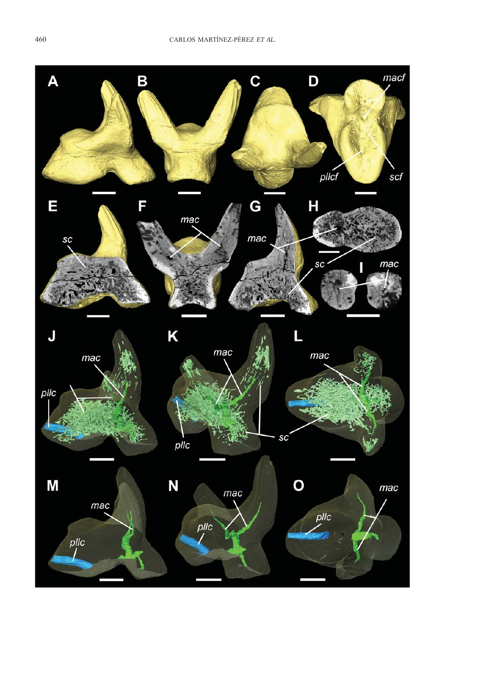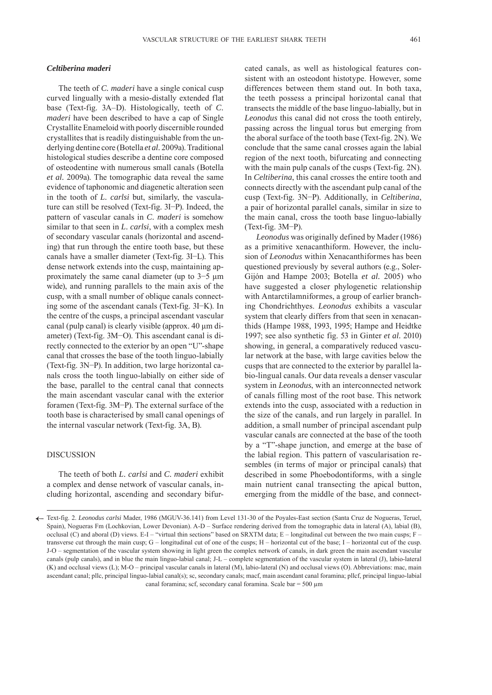## *Celtiberina maderi*

The teeth of *C. maderi* have a single conical cusp curved lingually with a mesio-distally extended flat base (Text-fig. 3A–D). Histologically, teeth of *C. maderi* have been described to have a cap of Single Crystallite Enameloid with poorly discernible rounded crystallites that is readily distinguishable from the underlying dentine core (Botella *et al.* 2009a). Traditional histological studies describe a dentine core composed of osteodentine with numerous small canals (Botella *et al.* 2009a). The tomographic data reveal the same evidence of taphonomic and diagenetic alteration seen in the tooth of *L. carlsi* but, similarly, the vasculature can still be resolved (Text-fig. 3I−P). Indeed, the pattern of vascular canals in *C. maderi* is somehow similar to that seen in *L. carlsi*, with a complex mesh of secondary vascular canals (horizontal and ascending) that run through the entire tooth base, but these canals have a smaller diameter (Text-fig. 3I−L). This dense network extends into the cusp, maintaining approximately the same canal diameter (up to 3−5 μm wide), and running parallels to the main axis of the cusp, with a small number of oblique canals connecting some of the ascendant canals (Text-fig. 3I−K). In the centre of the cusps, a principal ascendant vascular canal (pulp canal) is clearly visible (approx. 40 μm diameter) (Text-fig. 3M−O). This ascendant canal is directly connected to the exterior by an open "U"-shape canal that crosses the base of the tooth linguo-labially (Text-fig. 3N−P). In addition, two large horizontal canals cross the tooth linguo-labially on either side of the base, parallel to the central canal that connects the main ascendant vascular canal with the exterior foramen (Text-fig. 3M−P). The external surface of the tooth base is characterised by small canal openings of the internal vascular network (Text-fig. 3A, B).

## **DISCUSSION**

The teeth of both *L. carlsi* and *C. maderi* exhibit a complex and dense network of vascular canals, including horizontal, ascending and secondary bifurcated canals, as well as histological features consistent with an osteodont histotype. However, some differences between them stand out. In both taxa, the teeth possess a principal horizontal canal that transects the middle of the base linguo-labially, but in *Leonodus* this canal did not cross the tooth entirely, passing across the lingual torus but emerging from the aboral surface of the tooth base (Text-fig. 2N). We conclude that the same canal crosses again the labial region of the next tooth, bifurcating and connecting with the main pulp canals of the cusps (Text-fig. 2N). In *Celtiberina*, this canal crosses the entire tooth and connects directly with the ascendant pulp canal of the cusp (Text-fig. 3N−P). Additionally, in *Celtiberina*, a pair of horizontal parallel canals, similar in size to the main canal, cross the tooth base linguo-labially (Text-fig. 3M−P).

*Leonodus* was originally defined by Mader (1986) as a primitive xenacanthiform. However, the inclusion of *Leonodus* within Xenacanthiformes has been questioned previously by several authors (e.g., Soler-Gijón and Hampe 2003; Botella *et al.* 2005) who have suggested a closer phylogenetic relationship with Antarctilamniformes, a group of earlier branching Chondrichthyes. *Leonodus* exhibits a vascular system that clearly differs from that seen in xenacanthids (Hampe 1988, 1993, 1995; Hampe and Heidtke 1997; see also synthetic fig. 53 in Ginter *et al.* 2010) showing, in general, a comparatively reduced vascular network at the base, with large cavities below the cusps that are connected to the exterior by parallel labio-lingual canals. Our data reveals a denser vascular system in *Leonodus*, with an interconnected network of canals filling most of the root base. This network extends into the cusp, associated with a reduction in the size of the canals, and run largely in parallel. In addition, a small number of principal ascendant pulp vascular canals are connected at the base of the tooth by a "T"-shape junction, and emerge at the base of the labial region. This pattern of vascularisation resembles (in terms of major or principal canals) that described in some Phoebodontiforms, with a single main nutrient canal transecting the apical button, emerging from the middle of the base, and connect-

<sup>←</sup> Text-fig. 2. *Leonodus carlsi* Mader, 1986 (MGUV-36.141) from Level 131-30 of the Poyales-East section (Santa Cruz de Nogueras, Teruel, Spain), Nogueras Fm (Lochkovian, Lower Devonian). A-D – Surface rendering derived from the tomographic data in lateral (A), labial (B), occlusal (C) and aboral (D) views. E-I – "virtual thin sections" based on SRXTM data; E – longitudinal cut between the two main cusps; F – transverse cut through the main cusp; G – longitudinal cut of one of the cusps; H – horizontal cut of the base; I – horizontal cut of the cusp. J-O – segmentation of the vascular system showing in light green the complex network of canals, in dark green the main ascendant vascular canals (pulp canals), and in blue the main linguo-labial canal; J-L – complete segmentation of the vascular system in lateral (J), labio-lateral (K) and occlusal views (L); M-O – principal vascular canals in lateral (M), labio-lateral (N) and occlusal views (O). Abbreviations: mac, main ascendant canal; pllc, principal linguo-labial canal(s); sc, secondary canals; macf, main ascendant canal foramina; pllcf, principal linguo-labial canal foramina; scf, secondary canal foramina. Scale bar = 500 μm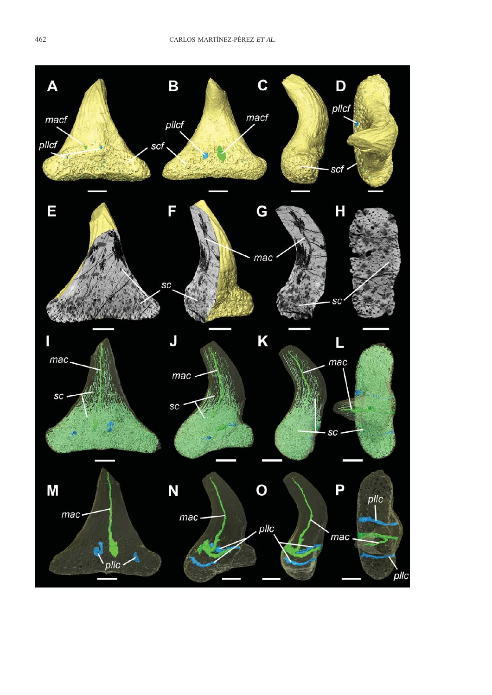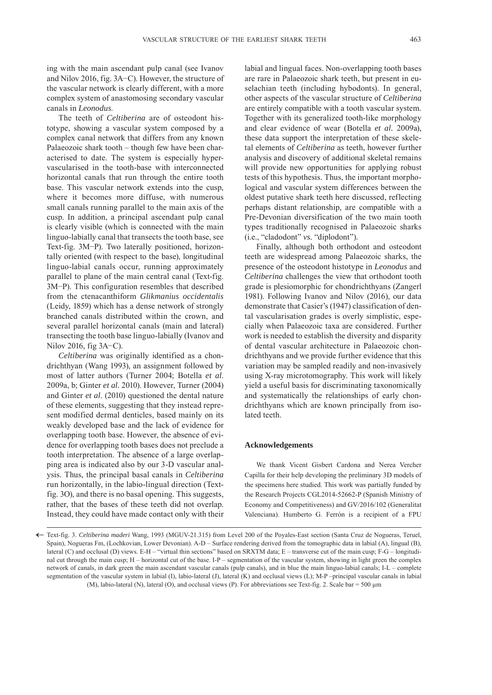ing with the main ascendant pulp canal (see Ivanov and Nilov 2016, fig. 3A−C). However, the structure of the vascular network is clearly different, with a more complex system of anastomosing secondary vascular canals in *Leonodus*.

The teeth of *Celtiberina* are of osteodont histotype, showing a vascular system composed by a complex canal network that differs from any known Palaeozoic shark tooth – though few have been characterised to date. The system is especially hypervascularised in the tooth-base with interconnected horizontal canals that run through the entire tooth base. This vascular network extends into the cusp, where it becomes more diffuse, with numerous small canals running parallel to the main axis of the cusp. In addition, a principal ascendant pulp canal is clearly visible (which is connected with the main linguo-labially canal that transects the tooth base, see Text-fig. 3M−P). Two laterally positioned, horizontally oriented (with respect to the base), longitudinal linguo-labial canals occur, running approximately parallel to plane of the main central canal (Text-fig. 3M−P). This configuration resembles that described from the ctenacanthiform *Glikmanius occidentalis* (Leidy, 1859) which has a dense network of strongly branched canals distributed within the crown, and several parallel horizontal canals (main and lateral) transecting the tooth base linguo-labially (Ivanov and Nilov 2016, fig 3A–C).

*Celtiberina* was originally identified as a chondrichthyan (Wang 1993), an assignment followed by most of latter authors (Turner 2004; Botella *et al*. 2009a, b; Ginter *et al*. 2010). However, Turner (2004) and Ginter *et al*. (2010) questioned the dental nature of these elements, suggesting that they instead represent modified dermal denticles, based mainly on its weakly developed base and the lack of evidence for overlapping tooth base. However, the absence of evidence for overlapping tooth bases does not preclude a tooth interpretation. The absence of a large overlapping area is indicated also by our 3-D vascular analysis. Thus, the principal basal canals in *Celtiberina* run horizontally, in the labio-lingual direction (Textfig. 3O), and there is no basal opening. This suggests, rather, that the bases of these teeth did not overlap. Instead, they could have made contact only with their labial and lingual faces. Non-overlapping tooth bases are rare in Palaeozoic shark teeth, but present in euselachian teeth (including hybodonts). In general, other aspects of the vascular structure of *Celtiberina* are entirely compatible with a tooth vascular system. Together with its generalized tooth-like morphology and clear evidence of wear (Botella *et al.* 2009a), these data support the interpretation of these skeletal elements of *Celtiberina* as teeth, however further analysis and discovery of additional skeletal remains will provide new opportunities for applying robust tests of this hypothesis. Thus, the important morphological and vascular system differences between the oldest putative shark teeth here discussed, reflecting perhaps distant relationship, are compatible with a Pre-Devonian diversification of the two main tooth types traditionally recognised in Palaeozoic sharks (i.e., "cladodont" *vs.* "diplodont").

Finally, although both orthodont and osteodont teeth are widespread among Palaeozoic sharks, the presence of the osteodont histotype in *Leonodus* and *Celtiberina* challenges the view that orthodont tooth grade is plesiomorphic for chondrichthyans (Zangerl 1981). Following Ivanov and Nilov (2016), our data demonstrate that Casier's (1947) classification of dental vascularisation grades is overly simplistic, especially when Palaeozoic taxa are considered. Further work is needed to establish the diversity and disparity of dental vascular architecture in Palaeozoic chondrichthyans and we provide further evidence that this variation may be sampled readily and non-invasively using X-ray microtomography. This work will likely yield a useful basis for discriminating taxonomically and systematically the relationships of early chondrichthyans which are known principally from isolated teeth.

#### **Acknowledgements**

We thank Vicent Gisbert Cardona and Nerea Vercher Capilla for their help developing the preliminary 3D models of the specimens here studied. This work was partially funded by the Research Projects CGL2014-52662-P (Spanish Ministry of Economy and Competitiveness) and GV/2016/102 (Generalitat Valenciana). Humberto G. Ferrón is a recipient of a FPU

<sup>←</sup> Text-fig. 3. *Celtiberina maderi* Wang, 1993 (MGUV-21.315) from Level 200 of the Poyales-East section (Santa Cruz de Nogueras, Teruel, Spain), Nogueras Fm, (Lochkovian, Lower Devonian). A-D – Surface rendering derived from the tomographic data in labial (A), lingual (B), lateral (C) and occlusal (D) views. E-H – "virtual thin sections" based on SRXTM data; E – transverse cut of the main cusp; F-G – longitudinal cut through the main cusp; H – horizontal cut of the base. I-P – segmentation of the vascular system, showing in light green the complex network of canals, in dark green the main ascendant vascular canals (pulp canals), and in blue the main linguo-labial canals; I-L – complete segmentation of the vascular system in labial (I), labio-lateral (J), lateral (K) and occlusal views (L); M-P –principal vascular canals in labial (M), labio-lateral (N), lateral (O), and occlusal views (P). For abbreviations see Text-fig. 2. Scale bar = 500 μm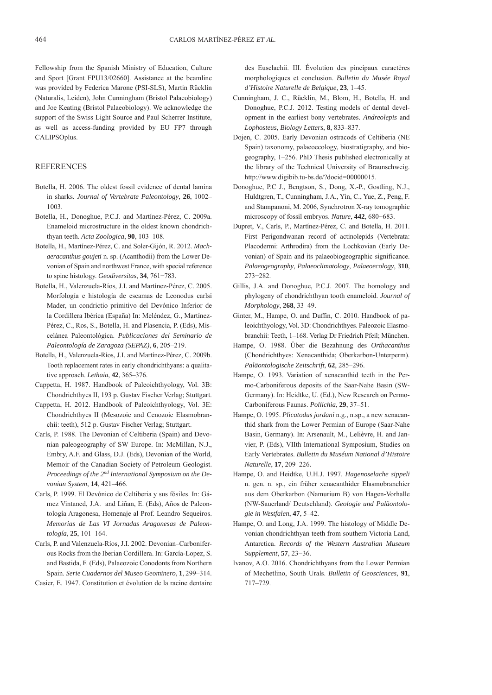Fellowship from the Spanish Ministry of Education, Culture and Sport [Grant FPU13/02660]. Assistance at the beamline was provided by Federica Marone (PSI-SLS), Martin Rücklin (Naturalis, Leiden), John Cunningham (Bristol Palaeobiology) and Joe Keating (Bristol Palaeobiology). We acknowledge the support of the Swiss Light Source and Paul Scherrer Institute, as well as access-funding provided by EU FP7 through CALIPSOplus.

# REFERENCES

- Botella, H. 2006. The oldest fossil evidence of dental lamina in sharks. *Journal of Vertebrate Paleontology*, **26**, 1002– 1003.
- Botella, H., Donoghue, P.C.J. and Martínez-Pérez, C. 2009a. Enameloid microstructure in the oldest known chondrichthyan teeth. *Acta Zoologica*, **90**, 103–108.
- Botella, H., Martínez-Pérez, C. and Soler-Gijón, R. 2012. *Machaeracanthus goujeti* n. sp. (Acanthodii) from the Lower Devonian of Spain and northwest France, with special reference to spine histology. *Geodiversitas*, **34**, 761−783.
- Botella, H., Valenzuela-Ríos, J.I. and Martínez-Pérez, C. 2005. Morfología e histología de escamas de Leonodus carlsi Mader, un condrictio primitivo del Devónico Inferior de la Cordillera Ibérica (España) In: Meléndez, G., Martínez-Pérez, C., Ros, S., Botella, H. and Plasencia, P. (Eds), Miscelánea Paleontológica. *Publicaciones del Seminario de Paleontología de Zaragoza (SEPAZ)*, **6**, 205–219.
- Botella, H., Valenzuela-Ríos, J.I. and Martínez-Pérez, C. 2009b. Tooth replacement rates in early chondrichthyans: a qualitative approach. *Lethaia*, **42**, 365–376.
- Cappetta, H. 1987. Handbook of Paleoichthyology, Vol. 3B: Chondrichthyes II, 193 p. Gustav Fischer Verlag; Stuttgart.
- Cappetta, H. 2012. Handbook of Paleoichthyology, Vol. 3E: Chondrichthyes II (Mesozoic and Cenozoic Elasmobranchii: teeth), 512 p. Gustav Fischer Verlag; Stuttgart.
- Carls, P. 1988. The Devonian of Celtiberia (Spain) and Devonian paleogeography of SW Europe. In: McMillan, N.J., Embry, A.F. and Glass, D.J. (Eds), Devonian of the World, Memoir of the Canadian Society of Petroleum Geologist. *Proceedings of the 2nd International Symposium on the Devonian System*, **14**, 421–466.
- Carls, P. 1999. El Devónico de Celtiberia y sus fósiles. In: Gámez Vintaned, J.A. and Liñan, E. (Eds), Años de Paleontología Aragonesa, Homenaje al Prof. Leandro Sequeiros. *Memorias de Las VI Jornadas Aragonesas de Paleontología*, **25**, 101–164.
- Carls, P. and Valenzuela-Ríos, J.I. 2002. Devonian–Carboniferous Rocks from the Iberian Cordillera. In: García-Lopez, S. and Bastida, F. (Eds), Palaeozoic Conodonts from Northern Spain. *Serie Cuadernos del Museo Geominero*, **1**, 299–314.

Casier, E. 1947. Constitution et évolution de la racine dentaire

des Euselachii. III. Évolution des pincipaux caractères morphologiques et conclusion. *Bulletin du Musée Royal d'Histoire Naturelle de Belgique*, **23**, 1–45.

- Cunningham, J. C., Rücklin, M., Blom, H., Botella, H. and Donoghue, P.C.J. 2012. Testing models of dental development in the earliest bony vertebrates. *Andreolepis* and *Lophosteus*, *Biology Letters*, **8**, 833–837.
- Dojen, C. 2005. Early Devonian ostracods of Celtiberia (NE Spain) taxonomy, palaeoecology, biostratigraphy, and biogeography, 1–256. PhD Thesis published electronically at the library of the Technical University of Braunschweig. http://www.digibib.tu-bs.de/?docid=00000015.
- Donoghue, P.C J., Bengtson, S., Dong, X.-P., Gostling, N.J., Huldtgren, T., Cunningham, J.A., Yin, C., Yue, Z., Peng, F. and Stampanoni, M. 2006, Synchrotron X-ray tomographic microscopy of fossil embryos. *Nature*, **442**, 680−683.
- Dupret, V., Carls, P., Martínez-Pérez, C. and Botella, H. 2011. First Perigondwanan record of actinolepids (Vertebrata: Placodermi: Arthrodira) from the Lochkovian (Early Devonian) of Spain and its palaeobiogeographic significance. *Palaeogeography*, *Palaeoclimatology*, *Palaeoecology*, **310**, 273−282.
- Gillis, J.A. and Donoghue, P.C.J. 2007. The homology and phylo geny of chondrichthyan tooth enameloid. *Journal of Morphology*, **268**, 33–49.
- Ginter, M., Hampe, O. and Duffin, C. 2010. Handbook of paleoichthyology, Vol. 3D: Chondrichthyes. Paleozoic Elasmobranchii: Teeth, 1–168. Verlag Dr Friedrich Pfeil; München.
- Hampe, O. 1988. Über die Bezahnung des *Orthacanthus* (Chondrichthyes: Xenacanthida; Oberkarbon-Unterperm). *Paläontologische Zeitschrift*, **62**, 285–296.
- Hampe, O. 1993. Variation of xenacanthid teeth in the Permo-Carboniferous deposits of the Saar-Nahe Basin (SW-Germany). In: Heidtke, U. (Ed.), New Research on Permo-Carboniferous Faunas. *Pollichia*, **29**, 37–51.
- Hampe, O. 1995. *Plicatodus jordani* n.g., n.sp., a new xenacanthid shark from the Lower Permian of Europe (Saar-Nahe Basin, Germany). In: Arsenault, M., Lelièvre, H. and Janvier, P. (Eds), VIIth International Symposium, Studies on Early Vertebrates. *Bulletin du Muséum National d'Histoire Naturelle*, **17**, 209–226.
- Hampe, O. and Heidtke, U.H.J. 1997. *Hagenoselache sippeli*  n. gen. n. sp., ein früher xenacanthider Elasmobranchier aus dem Oberkarbon (Namurium B) von Hagen-Vorhalle (NW-Sauerland/ Deutschland). *Geologie und Paläontologie in Westfalen*, **47**, 5–42.
- Hampe, O. and Long, J.A. 1999. The histology of Middle Devonian chondrichthyan teeth from southern Victoria Land, Antarctica. *Records of the Western Australian Museum Supplement*, **57**, 23−36.
- Ivanov, A.O. 2016. Chondrichthyans from the Lower Permian of Mechetlino, South Urals. *Bulletin of Geosciences*, **91**, 717–729.